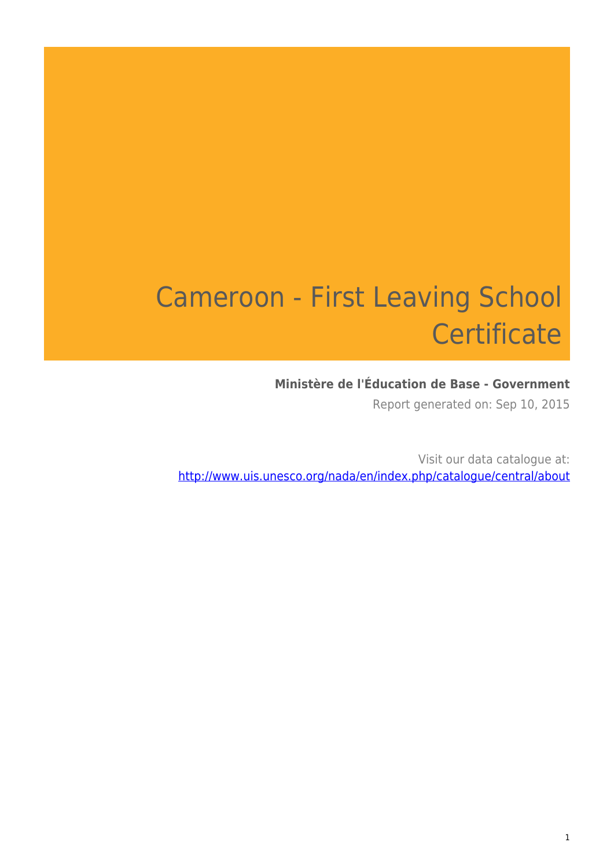# Cameroon - First Leaving School **Certificate**

### **Ministère de l'Éducation de Base - Government**

Report generated on: Sep 10, 2015

Visit our data catalogue at: http://www.uis.unesco.org/nada/en/index.php/catalogue/central/about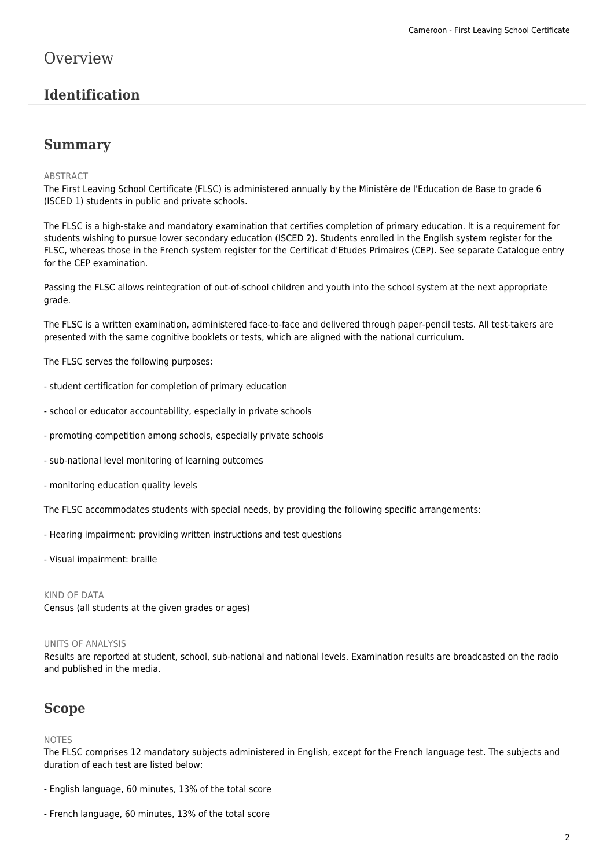### **Overview**

### **Identification**

#### **Summary**

#### ABSTRACT

The First Leaving School Certificate (FLSC) is administered annually by the Ministère de l'Education de Base to grade 6 (ISCED 1) students in public and private schools.

The FLSC is a high-stake and mandatory examination that certifies completion of primary education. It is a requirement for students wishing to pursue lower secondary education (ISCED 2). Students enrolled in the English system register for the FLSC, whereas those in the French system register for the Certificat d'Etudes Primaires (CEP). See separate Catalogue entry for the CEP examination.

Passing the FLSC allows reintegration of out-of-school children and youth into the school system at the next appropriate grade.

The FLSC is a written examination, administered face-to-face and delivered through paper-pencil tests. All test-takers are presented with the same cognitive booklets or tests, which are aligned with the national curriculum.

The FLSC serves the following purposes:

- student certification for completion of primary education
- school or educator accountability, especially in private schools
- promoting competition among schools, especially private schools
- sub-national level monitoring of learning outcomes
- monitoring education quality levels

The FLSC accommodates students with special needs, by providing the following specific arrangements:

- Hearing impairment: providing written instructions and test questions
- Visual impairment: braille

#### KIND OF DATA

Census (all students at the given grades or ages)

#### UNITS OF ANALYSIS

Results are reported at student, school, sub-national and national levels. Examination results are broadcasted on the radio and published in the media.

### **Scope**

#### NOTES

The FLSC comprises 12 mandatory subjects administered in English, except for the French language test. The subjects and duration of each test are listed below:

- English language, 60 minutes, 13% of the total score
- French language, 60 minutes, 13% of the total score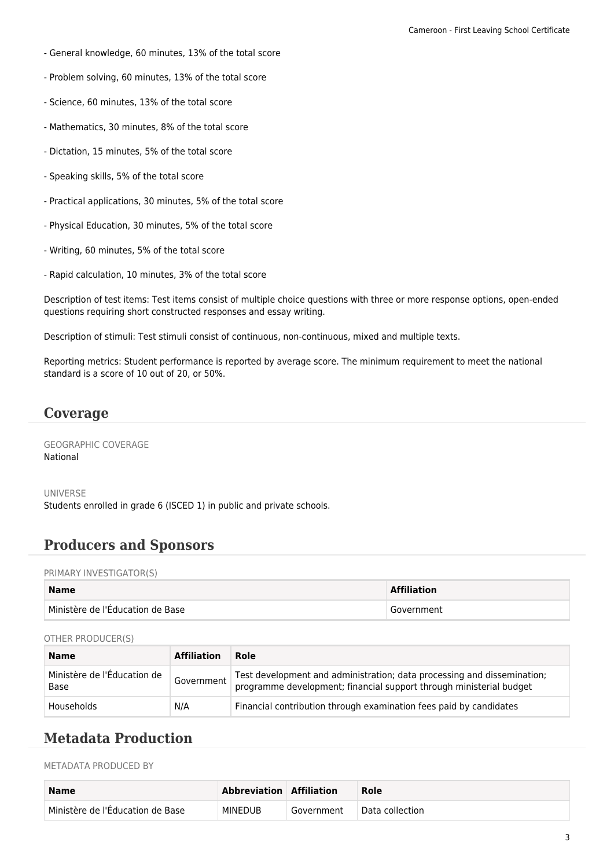- General knowledge, 60 minutes, 13% of the total score
- Problem solving, 60 minutes, 13% of the total score
- Science, 60 minutes, 13% of the total score
- Mathematics, 30 minutes, 8% of the total score
- Dictation, 15 minutes, 5% of the total score
- Speaking skills, 5% of the total score
- Practical applications, 30 minutes, 5% of the total score
- Physical Education, 30 minutes, 5% of the total score
- Writing, 60 minutes, 5% of the total score
- Rapid calculation, 10 minutes, 3% of the total score

Description of test items: Test items consist of multiple choice questions with three or more response options, open-ended questions requiring short constructed responses and essay writing.

Description of stimuli: Test stimuli consist of continuous, non-continuous, mixed and multiple texts.

Reporting metrics: Student performance is reported by average score. The minimum requirement to meet the national standard is a score of 10 out of 20, or 50%.

### **Coverage**

GEOGRAPHIC COVERAGE National

UNIVERSE Students enrolled in grade 6 (ISCED 1) in public and private schools.

### **Producers and Sponsors**

PRIMARY INVESTIGATOR(S)

| <b>Name</b>                      | <b>Affiliation</b> |
|----------------------------------|--------------------|
| Ministère de l'Éducation de Base | Government         |

#### OTHER PRODUCER(S)

| <b>Name</b>                         | <b>Affiliation</b> | Role                                                                                                                                           |
|-------------------------------------|--------------------|------------------------------------------------------------------------------------------------------------------------------------------------|
| Ministère de l'Éducation de<br>Base | Government         | Test development and administration; data processing and dissemination;<br>programme development; financial support through ministerial budget |
| Households                          | N/A                | Financial contribution through examination fees paid by candidates                                                                             |

### **Metadata Production**

METADATA PRODUCED BY

| <b>Name</b>                               | Abbreviation   Affiliation |            | Role            |
|-------------------------------------------|----------------------------|------------|-----------------|
| $\vdash$ Ministère de l'Éducation de Base | MINEDUB                    | Government | Data collection |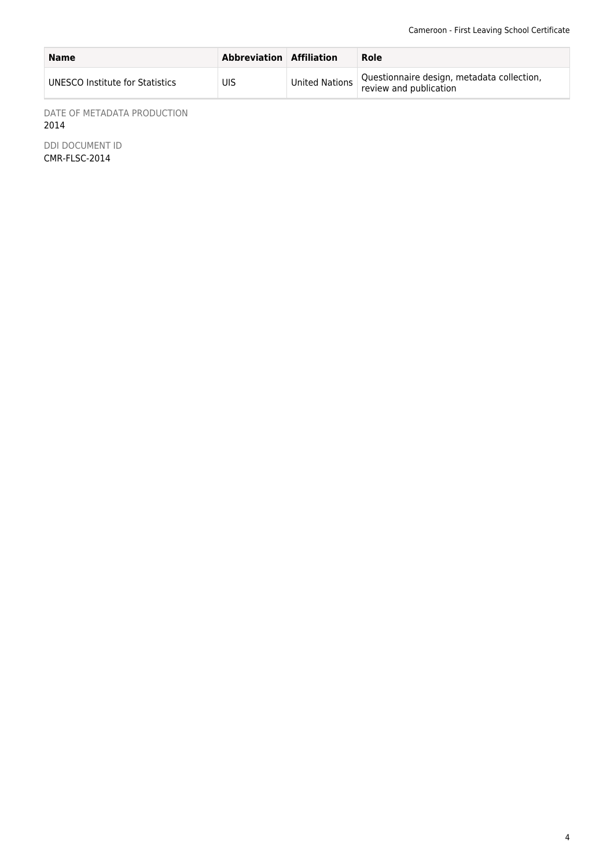| <b>Name</b>                     | <b>Abbreviation Affiliation</b> |                | Role                                                                 |
|---------------------------------|---------------------------------|----------------|----------------------------------------------------------------------|
| UNESCO Institute for Statistics | UIS                             | United Nations | Questionnaire design, metadata collection,<br>review and publication |

DATE OF METADATA PRODUCTION 2014

DDI DOCUMENT ID CMR-FLSC-2014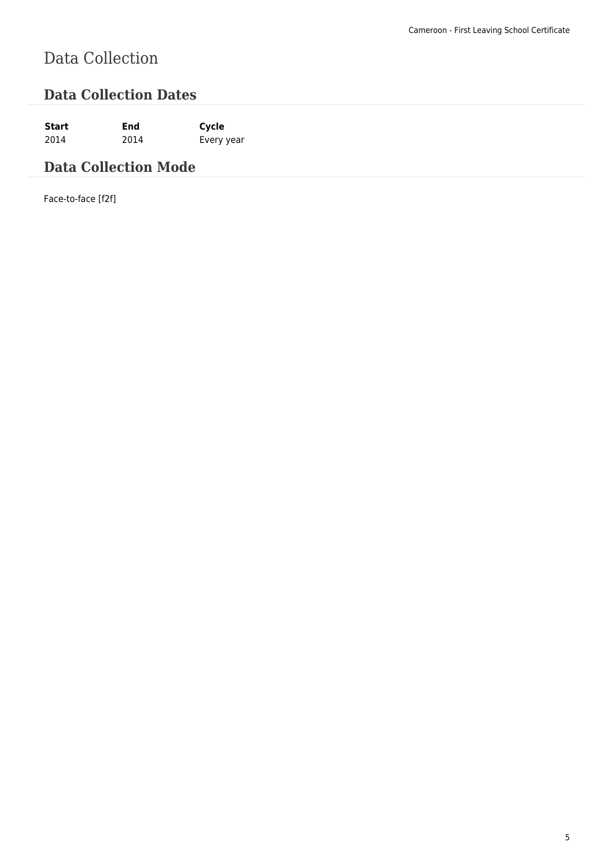# Data Collection

### **Data Collection Dates**

**Start End Cycle** 2014 2014 Every year

### **Data Collection Mode**

Face-to-face [f2f]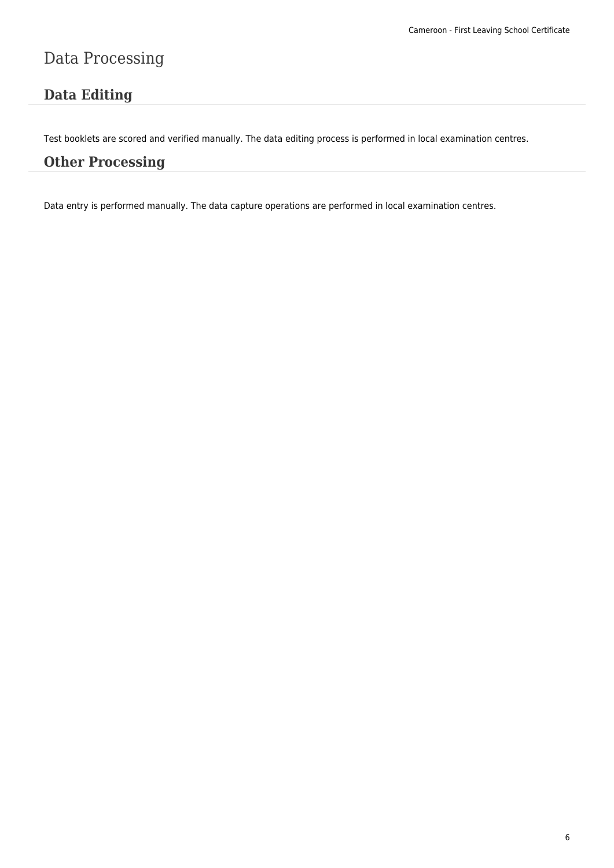## Data Processing

### **Data Editing**

Test booklets are scored and verified manually. The data editing process is performed in local examination centres.

### **Other Processing**

Data entry is performed manually. The data capture operations are performed in local examination centres.